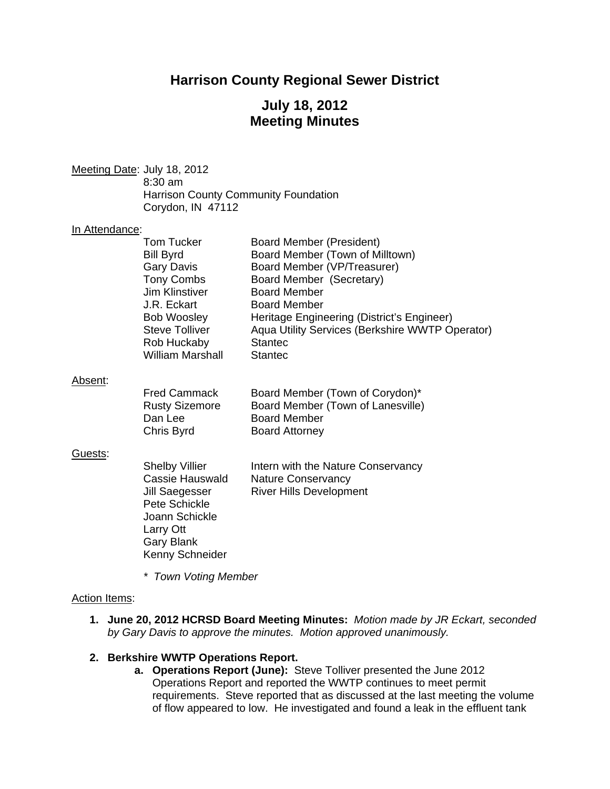## **Harrison County Regional Sewer District**

# **July 18, 2012 Meeting Minutes**

Meeting Date: July 18, 2012 8:30 am Harrison County Community Foundation Corydon, IN 47112

#### In Attendance:

| Tom Tucker              | <b>Board Member (President)</b>                 |
|-------------------------|-------------------------------------------------|
| <b>Bill Byrd</b>        | Board Member (Town of Milltown)                 |
| <b>Gary Davis</b>       | Board Member (VP/Treasurer)                     |
| <b>Tony Combs</b>       | Board Member (Secretary)                        |
| <b>Jim Klinstiver</b>   | <b>Board Member</b>                             |
| J.R. Eckart             | <b>Board Member</b>                             |
| <b>Bob Woosley</b>      | Heritage Engineering (District's Engineer)      |
| <b>Steve Tolliver</b>   | Aqua Utility Services (Berkshire WWTP Operator) |
| Rob Huckaby             | <b>Stantec</b>                                  |
| <b>William Marshall</b> | <b>Stantec</b>                                  |
|                         |                                                 |

#### Absent:

| <b>Fred Cammack</b>   | Board Member (Town of Corydon)*   |
|-----------------------|-----------------------------------|
| <b>Rusty Sizemore</b> | Board Member (Town of Lanesville) |
| Dan Lee               | <b>Board Member</b>               |
| Chris Byrd            | <b>Board Attorney</b>             |

#### Guests:

| <b>Shelby Villier</b> | Intern with the Nature Conservancy |
|-----------------------|------------------------------------|
| Cassie Hauswald       | <b>Nature Conservancy</b>          |
| Jill Saegesser        | <b>River Hills Development</b>     |
| Pete Schickle         |                                    |
| Joann Schickle        |                                    |
| Larry Ott             |                                    |
| Gary Blank            |                                    |
| Kenny Schneider       |                                    |

*\* Town Voting Member* 

### Action Items:

**1. June 20, 2012 HCRSD Board Meeting Minutes:** *Motion made by JR Eckart, seconded by Gary Davis to approve the minutes. Motion approved unanimously.* 

## **2. Berkshire WWTP Operations Report.**

**a. Operations Report (June):** Steve Tolliver presented the June 2012 Operations Report and reported the WWTP continues to meet permit requirements. Steve reported that as discussed at the last meeting the volume of flow appeared to low. He investigated and found a leak in the effluent tank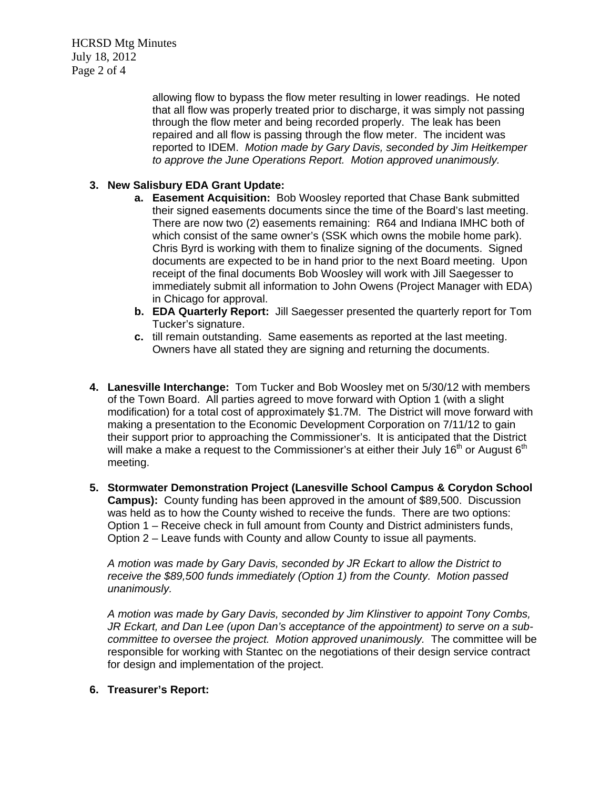HCRSD Mtg Minutes July 18, 2012 Page 2 of 4

> allowing flow to bypass the flow meter resulting in lower readings. He noted that all flow was properly treated prior to discharge, it was simply not passing through the flow meter and being recorded properly. The leak has been repaired and all flow is passing through the flow meter. The incident was reported to IDEM. *Motion made by Gary Davis, seconded by Jim Heitkemper to approve the June Operations Report. Motion approved unanimously.*

## **3. New Salisbury EDA Grant Update:**

- **a. Easement Acquisition:** Bob Woosley reported that Chase Bank submitted their signed easements documents since the time of the Board's last meeting. There are now two (2) easements remaining: R64 and Indiana IMHC both of which consist of the same owner's (SSK which owns the mobile home park). Chris Byrd is working with them to finalize signing of the documents. Signed documents are expected to be in hand prior to the next Board meeting. Upon receipt of the final documents Bob Woosley will work with Jill Saegesser to immediately submit all information to John Owens (Project Manager with EDA) in Chicago for approval.
- **b. EDA Quarterly Report:** Jill Saegesser presented the quarterly report for Tom Tucker's signature.
- **c.** till remain outstanding. Same easements as reported at the last meeting. Owners have all stated they are signing and returning the documents.
- **4. Lanesville Interchange:** Tom Tucker and Bob Woosley met on 5/30/12 with members of the Town Board. All parties agreed to move forward with Option 1 (with a slight modification) for a total cost of approximately \$1.7M. The District will move forward with making a presentation to the Economic Development Corporation on 7/11/12 to gain their support prior to approaching the Commissioner's. It is anticipated that the District will make a make a request to the Commissioner's at either their July 16<sup>th</sup> or August 6<sup>th</sup> meeting.
- **5. Stormwater Demonstration Project (Lanesville School Campus & Corydon School Campus):** County funding has been approved in the amount of \$89,500. Discussion was held as to how the County wished to receive the funds. There are two options: Option 1 – Receive check in full amount from County and District administers funds, Option 2 – Leave funds with County and allow County to issue all payments.

*A motion was made by Gary Davis, seconded by JR Eckart to allow the District to receive the \$89,500 funds immediately (Option 1) from the County. Motion passed unanimously.* 

*A motion was made by Gary Davis, seconded by Jim Klinstiver to appoint Tony Combs, JR Eckart, and Dan Lee (upon Dan's acceptance of the appointment) to serve on a subcommittee to oversee the project. Motion approved unanimously.* The committee will be responsible for working with Stantec on the negotiations of their design service contract for design and implementation of the project.

### **6. Treasurer's Report:**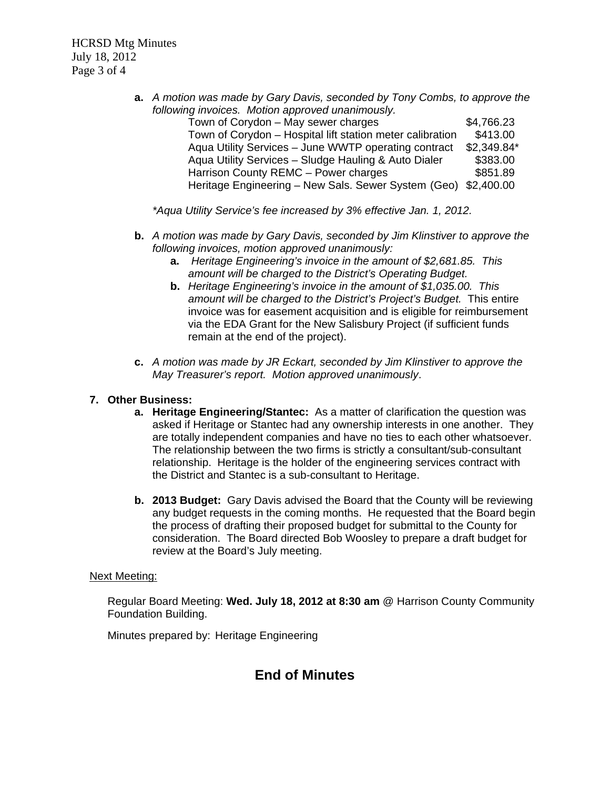HCRSD Mtg Minutes July 18, 2012 Page 3 of 4

> **a.** *A motion was made by Gary Davis, seconded by Tony Combs, to approve the following invoices. Motion approved unanimously.*

| Town of Corydon – May sewer charges                            | \$4,766.23  |
|----------------------------------------------------------------|-------------|
| Town of Corydon - Hospital lift station meter calibration      | \$413.00    |
| Aqua Utility Services - June WWTP operating contract           | \$2,349.84* |
| Aqua Utility Services - Sludge Hauling & Auto Dialer           | \$383.00    |
| Harrison County REMC - Power charges                           | \$851.89    |
| Heritage Engineering - New Sals. Sewer System (Geo) \$2,400.00 |             |

*\*Aqua Utility Service's fee increased by 3% effective Jan. 1, 2012.* 

- **b.** *A motion was made by Gary Davis, seconded by Jim Klinstiver to approve the following invoices, motion approved unanimously:* 
	- **a.** *Heritage Engineering's invoice in the amount of \$2,681.85. This amount will be charged to the District's Operating Budget.*
	- **b.** *Heritage Engineering's invoice in the amount of \$1,035.00. This amount will be charged to the District's Project's Budget.* This entire invoice was for easement acquisition and is eligible for reimbursement via the EDA Grant for the New Salisbury Project (if sufficient funds remain at the end of the project).
- **c.** *A motion was made by JR Eckart, seconded by Jim Klinstiver to approve the May Treasurer's report. Motion approved unanimously*.

## **7. Other Business:**

- **a. Heritage Engineering/Stantec:** As a matter of clarification the question was asked if Heritage or Stantec had any ownership interests in one another. They are totally independent companies and have no ties to each other whatsoever. The relationship between the two firms is strictly a consultant/sub-consultant relationship. Heritage is the holder of the engineering services contract with the District and Stantec is a sub-consultant to Heritage.
- **b. 2013 Budget:** Gary Davis advised the Board that the County will be reviewing any budget requests in the coming months. He requested that the Board begin the process of drafting their proposed budget for submittal to the County for consideration. The Board directed Bob Woosley to prepare a draft budget for review at the Board's July meeting.

### Next Meeting:

Regular Board Meeting: **Wed. July 18, 2012 at 8:30 am** @ Harrison County Community Foundation Building.

Minutes prepared by: Heritage Engineering

# **End of Minutes**